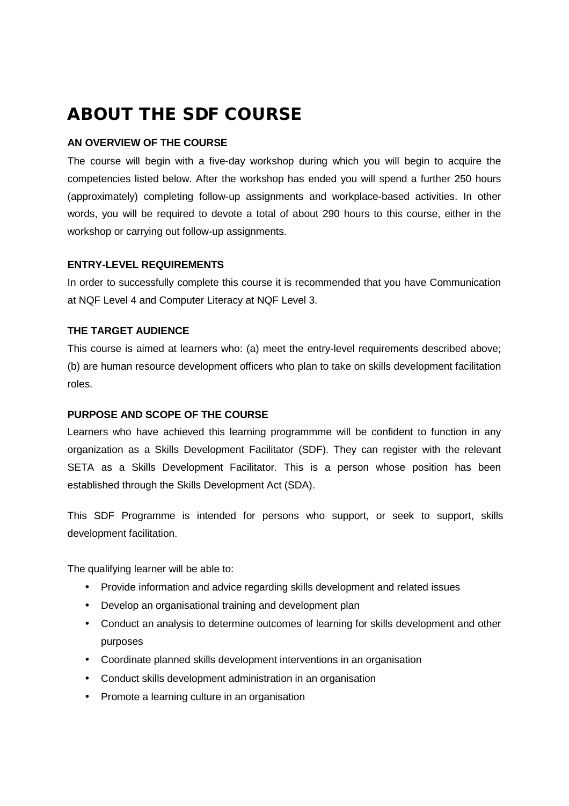# **ABOUT THE SDF COURSE**

# **AN OVERVIEW OF THE COURSE**

The course will begin with a five-day workshop during which you will begin to acquire the competencies listed below. After the workshop has ended you will spend a further 250 hours (approximately) completing follow-up assignments and workplace-based activities. In other words, you will be required to devote a total of about 290 hours to this course, either in the workshop or carrying out follow-up assignments.

# **ENTRY-LEVEL REQUIREMENTS**

In order to successfully complete this course it is recommended that you have Communication at NQF Level 4 and Computer Literacy at NQF Level 3.

# **THE TARGET AUDIENCE**

This course is aimed at learners who: (a) meet the entry-level requirements described above; (b) are human resource development officers who plan to take on skills development facilitation roles.

#### **PURPOSE AND SCOPE OF THE COURSE**

Learners who have achieved this learning programmme will be confident to function in any organization as a Skills Development Facilitator (SDF). They can register with the relevant SETA as a Skills Development Facilitator. This is a person whose position has been established through the Skills Development Act (SDA).

This SDF Programme is intended for persons who support, or seek to support, skills development facilitation.

The qualifying learner will be able to:

- Provide information and advice regarding skills development and related issues
- Develop an organisational training and development plan
- Conduct an analysis to determine outcomes of learning for skills development and other purposes
- Coordinate planned skills development interventions in an organisation
- Conduct skills development administration in an organisation
- Promote a learning culture in an organisation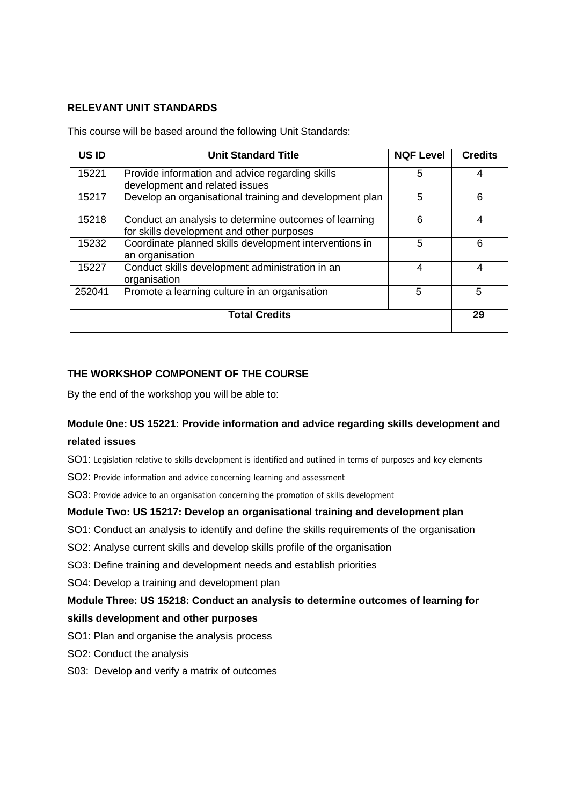#### **RELEVANT UNIT STANDARDS**

This course will be based around the following Unit Standards:

| US ID                | <b>Unit Standard Title</b>                                                                         | <b>NQF Level</b> | <b>Credits</b> |
|----------------------|----------------------------------------------------------------------------------------------------|------------------|----------------|
| 15221                | Provide information and advice regarding skills<br>development and related issues                  | 5                | 4              |
| 15217                | Develop an organisational training and development plan                                            | 5                | 6              |
| 15218                | Conduct an analysis to determine outcomes of learning<br>for skills development and other purposes | 6                | 4              |
| 15232                | Coordinate planned skills development interventions in<br>an organisation                          | 5                | 6              |
| 15227                | Conduct skills development administration in an<br>organisation                                    | 4                | 4              |
| 252041               | Promote a learning culture in an organisation                                                      | 5                | 5              |
| <b>Total Credits</b> |                                                                                                    |                  | 29             |

#### **THE WORKSHOP COMPONENT OF THE COURSE**

By the end of the workshop you will be able to:

#### **Module 0ne: US 15221: Provide information and advice regarding skills development and**

#### **related issues**

SO1: Legislation relative to skills development is identified and outlined in terms of purposes and key elements

SO2: Provide information and advice concerning learning and assessment

SO3: Provide advice to an organisation concerning the promotion of skills development

#### **Module Two: US 15217: Develop an organisational training and development plan**

SO1: Conduct an analysis to identify and define the skills requirements of the organisation

SO2: Analyse current skills and develop skills profile of the organisation

SO3: Define training and development needs and establish priorities

SO4: Develop a training and development plan

# **Module Three: US 15218: Conduct an analysis to determine outcomes of learning for skills development and other purposes**

- SO1: Plan and organise the analysis process
- SO2: Conduct the analysis
- S03:Develop and verify a matrix of outcomes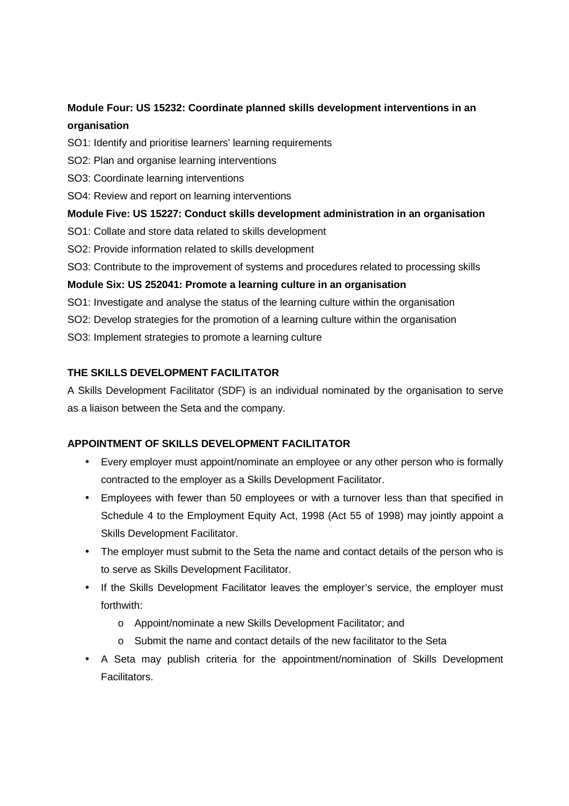# **Module Four: US 15232: Coordinate planned skills development interventions in an organisation**

- SO1: Identify and prioritise learners' learning requirements
- SO2: Plan and organise learning interventions
- SO3: Coordinate learning interventions
- SO4: Review and report on learning interventions

# **Module Five: US 15227: Conduct skills development administration in an organisation**

- SO1: Collate and store data related to skills development
- SO2: Provide information related to skills development

SO3: Contribute to the improvement of systems and procedures related to processing skills

# **Module Six: US 252041: Promote a learning culture in an organisation**

- SO1: Investigate and analyse the status of the learning culture within the organisation
- SO2: Develop strategies for the promotion of a learning culture within the organisation

SO3: Implement strategies to promote a learning culture

# **THE SKILLS DEVELOPMENT FACILITATOR**

A Skills Development Facilitator (SDF) is an individual nominated by the organisation to serve as a liaison between the Seta and the company.

# **APPOINTMENT OF SKILLS DEVELOPMENT FACILITATOR**

- Every employer must appoint/nominate an employee or any other person who is formally contracted to the employer as a Skills Development Facilitator.
- Employees with fewer than 50 employees or with a turnover less than that specified in Schedule 4 to the Employment Equity Act, 1998 (Act 55 of 1998) may jointly appoint a Skills Development Facilitator.
- The employer must submit to the Seta the name and contact details of the person who is to serve as Skills Development Facilitator.
- If the Skills Development Facilitator leaves the employer's service, the employer must forthwith:
	- o Appoint/nominate a new Skills Development Facilitator; and
	- o Submit the name and contact details of the new facilitator to the Seta
- A Seta may publish criteria for the appointment/nomination of Skills Development Facilitators.